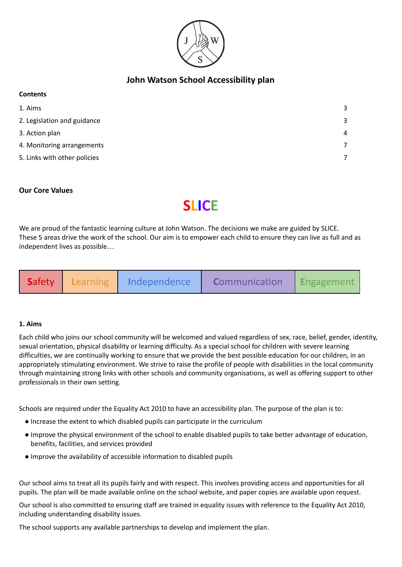

# **John Watson School Accessibility plan**

#### **Contents**

| 1. Aims                      | 3              |
|------------------------------|----------------|
| 2. Legislation and guidance  | 3              |
| 3. Action plan               | 4              |
| 4. Monitoring arrangements   |                |
| 5. Links with other policies | $\overline{ }$ |

# **Our Core Values**

# **SLICE**

We are proud of the fantastic learning culture at John Watson. The decisions we make are guided by SLICE. These 5 areas drive the work of the school. Our aim is to empower each child to ensure they can live as full and as independent lives as possible…

| Safety | <b>Learning</b> | Independence | <b>Communication</b> | <b>Engagement</b> |
|--------|-----------------|--------------|----------------------|-------------------|
|--------|-----------------|--------------|----------------------|-------------------|

#### **1. Aims**

Each child who joins our school community will be welcomed and valued regardless of sex, race, belief, gender, identity, sexual orientation, physical disability or learning difficulty. As a special school for children with severe learning difficulties, we are continually working to ensure that we provide the best possible education for our children, in an appropriately stimulating environment. We strive to raise the profile of people with disabilities in the local community through maintaining strong links with other schools and community organisations, as well as offering support to other professionals in their own setting.

Schools are required under the Equality Act 2010 to have an accessibility plan. The purpose of the plan is to:

- Increase the extent to which disabled pupils can participate in the curriculum
- Improve the physical environment of the school to enable disabled pupils to take better advantage of education, benefits, facilities, and services provided
- Improve the availability of accessible information to disabled pupils

Our school aims to treat all its pupils fairly and with respect. This involves providing access and opportunities for all pupils. The plan will be made available online on the school website, and paper copies are available upon request.

Our school is also committed to ensuring staff are trained in equality issues with reference to the Equality Act 2010, including understanding disability issues.

The school supports any available partnerships to develop and implement the plan.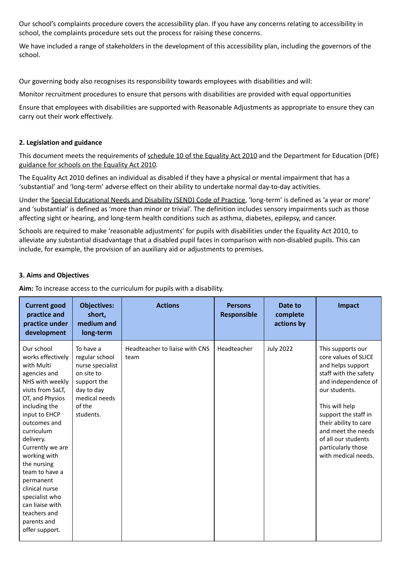Our school's complaints procedure covers the accessibility plan. If you have any concerns relating to accessibility in school, the complaints procedure sets out the process for raising these concerns.

<span id="page-1-0"></span>We have included a range of stakeholders in the development of this accessibility plan, including the governors of the school.

Our governing body also recognises its responsibility towards employees with disabilities and will:

Monitor recruitment procedures to ensure that persons with disabilities are provided with equal opportunities

Ensure that employees with disabilities are supported with Reasonable Adjustments as appropriate to ensure they can carry out their work effectively.

### **2. Legislation and guidance**

This document meets the requirements of [schedule](http://www.legislation.gov.uk/ukpga/2010/15/schedule/10) 10 of the Equality Act 2010 and the Department for Education (DfE) [guidance](https://www.gov.uk/government/publications/equality-act-2010-advice-for-schools) for schools on the Equality Act 2010.

The Equality Act 2010 defines an individual as disabled if they have a physical or mental impairment that has a 'substantial' and 'long-term' adverse effect on their ability to undertake normal day-to-day activities.

Under the Special [Educational](https://www.gov.uk/government/publications/send-code-of-practice-0-to-25) Needs and Disability (SEND) Code of Practice, 'long-term' is defined as 'a year or more' and 'substantial' is defined as 'more than minor or trivial'. The definition includes sensory impairments such as those affecting sight or hearing, and long-term health conditions such as asthma, diabetes, epilepsy, and cancer.

Schools are required to make 'reasonable adjustments' for pupils with disabilities under the Equality Act 2010, to alleviate any substantial disadvantage that a disabled pupil faces in comparison with non-disabled pupils. This can include, for example, the provision of an auxiliary aid or adjustments to premises.

#### **3. Aims and Objectives**

**Aim:** To increase access to the curriculum for pupils with a disability.

| <b>Current good</b><br>practice and<br>practice under<br>development                                                                                                                                                                                                                                                                                                                            | <b>Objectives:</b><br>short,<br>medium and<br>long-term                                                                            | <b>Actions</b>                         | <b>Persons</b><br>Responsible | Date to<br>complete<br>actions by | Impact                                                                                                                                                                                                                                                                                       |
|-------------------------------------------------------------------------------------------------------------------------------------------------------------------------------------------------------------------------------------------------------------------------------------------------------------------------------------------------------------------------------------------------|------------------------------------------------------------------------------------------------------------------------------------|----------------------------------------|-------------------------------|-----------------------------------|----------------------------------------------------------------------------------------------------------------------------------------------------------------------------------------------------------------------------------------------------------------------------------------------|
| Our school<br>works effectively<br>with Multi<br>agencies and<br>NHS with weekly<br>visits from SaLT,<br>OT, and Physios<br>including the<br>input to EHCP<br>outcomes and<br>curriculum<br>delivery.<br>Currently we are<br>working with<br>the nursing<br>team to have a<br>permanent<br>clinical nurse<br>specialist who<br>can liaise with<br>teachers and<br>parents and<br>offer support. | To have a<br>regular school<br>nurse specialist<br>on site to<br>support the<br>day to day<br>medical needs<br>of the<br>students. | Headteacher to liaise with CNS<br>team | Headteacher                   | <b>July 2022</b>                  | This supports our<br>core values of SLICE<br>and helps support<br>staff with the safety<br>and independence of<br>our students.<br>This will help<br>support the staff in<br>their ability to care<br>and meet the needs<br>of all our students<br>particularly those<br>with medical needs. |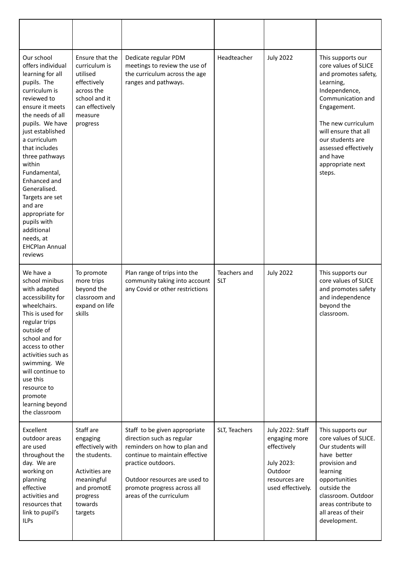| Our school<br>offers individual<br>learning for all<br>pupils. The<br>curriculum is<br>reviewed to<br>ensure it meets<br>the needs of all<br>pupils. We have<br>just established<br>a curriculum<br>that includes<br>three pathways<br>within<br>Fundamental,<br>Enhanced and<br>Generalised.<br>Targets are set<br>and are<br>appropriate for<br>pupils with<br>additional<br>needs, at<br><b>EHCPlan Annual</b><br>reviews | Ensure that the<br>curriculum is<br>utilised<br>effectively<br>across the<br>school and it<br>can effectively<br>measure<br>progress        | Dedicate regular PDM<br>meetings to review the use of<br>the curriculum across the age<br>ranges and pathways.                                                                                                                                | Headteacher                | <b>July 2022</b>                                                                                                | This supports our<br>core values of SLICE<br>and promotes safety,<br>Learning,<br>Independence,<br>Communication and<br>Engagement.<br>The new curriculum<br>will ensure that all<br>our students are<br>assessed effectively<br>and have<br>appropriate next<br>steps. |
|------------------------------------------------------------------------------------------------------------------------------------------------------------------------------------------------------------------------------------------------------------------------------------------------------------------------------------------------------------------------------------------------------------------------------|---------------------------------------------------------------------------------------------------------------------------------------------|-----------------------------------------------------------------------------------------------------------------------------------------------------------------------------------------------------------------------------------------------|----------------------------|-----------------------------------------------------------------------------------------------------------------|-------------------------------------------------------------------------------------------------------------------------------------------------------------------------------------------------------------------------------------------------------------------------|
| We have a<br>school minibus<br>with adapted<br>accessibility for<br>wheelchairs.<br>This is used for<br>regular trips<br>outside of<br>school and for<br>access to other<br>activities such as<br>swimming. We<br>will continue to<br>use this<br>resource to<br>promote<br>learning beyond<br>the classroom                                                                                                                 | To promote<br>more trips<br>beyond the<br>classroom and<br>expand on life<br>skills                                                         | Plan range of trips into the<br>community taking into account<br>any Covid or other restrictions                                                                                                                                              | Teachers and<br><b>SLT</b> | <b>July 2022</b>                                                                                                | This supports our<br>core values of SLICE<br>and promotes safety<br>and independence<br>beyond the<br>classroom.                                                                                                                                                        |
| Excellent<br>outdoor areas<br>are used<br>throughout the<br>day. We are<br>working on<br>planning<br>effective<br>activities and<br>resources that<br>link to pupil's<br><b>ILPs</b>                                                                                                                                                                                                                                         | Staff are<br>engaging<br>effectively with<br>the students.<br>Activities are<br>meaningful<br>and promotE<br>progress<br>towards<br>targets | Staff to be given appropriate<br>direction such as regular<br>reminders on how to plan and<br>continue to maintain effective<br>practice outdoors.<br>Outdoor resources are used to<br>promote progress across all<br>areas of the curriculum | SLT, Teachers              | July 2022: Staff<br>engaging more<br>effectively<br>July 2023:<br>Outdoor<br>resources are<br>used effectively. | This supports our<br>core values of SLICE.<br>Our students will<br>have better<br>provision and<br>learning<br>opportunities<br>outside the<br>classroom. Outdoor<br>areas contribute to<br>all areas of their<br>development.                                          |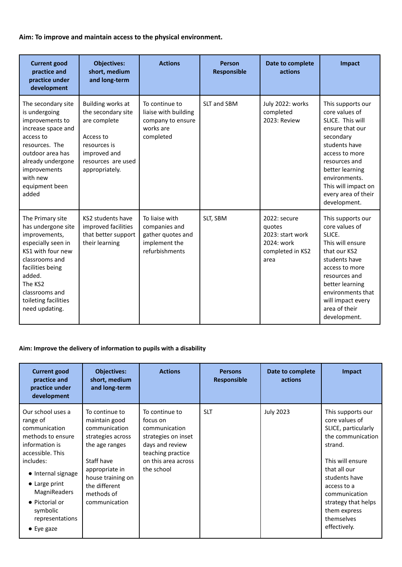**Aim: To improve and maintain access to the physical environment.**

| <b>Current good</b><br>practice and<br>practice under<br>development                                                                                                                                                      | <b>Objectives:</b><br>short, medium<br>and long-term                                                                                         | <b>Actions</b>                                                                          | <b>Person</b><br><b>Responsible</b> | Date to complete<br>actions                                                          | Impact                                                                                                                                                                                                                                        |
|---------------------------------------------------------------------------------------------------------------------------------------------------------------------------------------------------------------------------|----------------------------------------------------------------------------------------------------------------------------------------------|-----------------------------------------------------------------------------------------|-------------------------------------|--------------------------------------------------------------------------------------|-----------------------------------------------------------------------------------------------------------------------------------------------------------------------------------------------------------------------------------------------|
| The secondary site<br>is undergoing<br>improvements to<br>increase space and<br>access to<br>resources. The<br>outdoor area has<br>already undergone<br>improvements<br>with new<br>equipment been<br>added               | Building works at<br>the secondary site<br>are complete<br>Access to<br>resources is<br>improved and<br>resources are used<br>appropriately. | To continue to<br>liaise with building<br>company to ensure<br>works are<br>completed   | SLT and SBM                         | July 2022: works<br>completed<br>2023: Review                                        | This supports our<br>core values of<br>SLICE. This will<br>ensure that our<br>secondary<br>students have<br>access to more<br>resources and<br>better learning<br>environments.<br>This will impact on<br>every area of their<br>development. |
| The Primary site<br>has undergone site<br>improvements,<br>especially seen in<br>KS1 with four new<br>classrooms and<br>facilities being<br>added.<br>The KS2<br>classrooms and<br>toileting facilities<br>need updating. | KS2 students have<br>improved facilities<br>that better support<br>their learning                                                            | To liaise with<br>companies and<br>gather quotes and<br>implement the<br>refurbishments | SLT, SBM                            | 2022: secure<br>quotes<br>2023: start work<br>2024: work<br>completed in KS2<br>area | This supports our<br>core values of<br>SLICE.<br>This will ensure<br>that our KS2<br>students have<br>access to more<br>resources and<br>better learning<br>environments that<br>will impact every<br>area of their<br>development.           |

# **Aim: Improve the delivery of information to pupils with a disability**

| <b>Current good</b><br>practice and<br>practice under<br>development                                                                                                                                                                                 | <b>Objectives:</b><br>short, medium<br>and long-term                                                                                                                                         | <b>Actions</b>                                                                                                                                  | <b>Persons</b><br>Responsible | Date to complete<br>actions | Impact                                                                                                                                                                                                                                               |
|------------------------------------------------------------------------------------------------------------------------------------------------------------------------------------------------------------------------------------------------------|----------------------------------------------------------------------------------------------------------------------------------------------------------------------------------------------|-------------------------------------------------------------------------------------------------------------------------------------------------|-------------------------------|-----------------------------|------------------------------------------------------------------------------------------------------------------------------------------------------------------------------------------------------------------------------------------------------|
| Our school uses a<br>range of<br>communication<br>methods to ensure<br>information is<br>accessible. This<br>includes:<br>• Internal signage<br>• Large print<br>MagniReaders<br>• Pictorial or<br>symbolic<br>representations<br>$\bullet$ Eye gaze | To continue to<br>maintain good<br>communication<br>strategies across<br>the age ranges<br>Staff have<br>appropriate in<br>house training on<br>the different<br>methods of<br>communication | To continue to<br>focus on<br>communication<br>strategies on inset<br>days and review<br>teaching practice<br>on this area across<br>the school | <b>SLT</b>                    | <b>July 2023</b>            | This supports our<br>core values of<br>SLICE, particularly<br>the communication<br>strand.<br>This will ensure<br>that all our<br>students have<br>access to a<br>communication<br>strategy that helps<br>them express<br>themselves<br>effectively. |